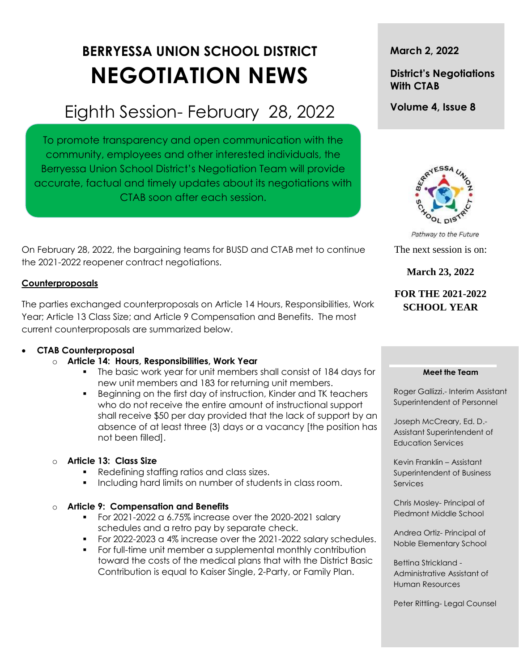# **BERRYESSA UNION SCHOOL DISTRICT NEGOTIATION NEWS**

## Eighth Session- February 28, 2022

To promote transparency and open communication with the community, employees and other interested individuals, the Berryessa Union School District's Negotiation Team will provide accurate, factual and timely updates about its negotiations with CTAB soon after each session.

On February 28, 2022, the bargaining teams for BUSD and CTAB met to continue the 2021-2022 reopener contract negotiations.

#### **Counterproposals**

The parties exchanged counterproposals on Article 14 Hours, Responsibilities, Work Year; Article 13 Class Size; and Article 9 Compensation and Benefits. The most current counterproposals are summarized below.

#### **CTAB Counterproposal**

#### o **Article 14: Hours, Responsibilities, Work Year**

- The basic work year for unit members shall consist of 184 days for new unit members and 183 for returning unit members.
- Beginning on the first day of instruction, Kinder and TK teachers who do not receive the entire amount of instructional support shall receive \$50 per day provided that the lack of support by an absence of at least three (3) days or a vacancy [the position has not been filled].

#### o **Article 13: Class Size**

- Redefining staffing ratios and class sizes.
- Including hard limits on number of students in class room.

#### o **Article 9: Compensation and Benefits**

- For 2021-2022 a 6.75% increase over the 2020-2021 salary schedules and a retro pay by separate check.
- For 2022-2023 a 4% increase over the 2021-2022 salary schedules.
- For full-time unit member a supplemental monthly contribution toward the costs of the medical plans that with the District Basic Contribution is equal to Kaiser Single, 2-Party, or Family Plan.

#### **March 2, 2022**

### **District's Negotiations With CTAB**

**Volume 4, Issue 8**



Pathway to the Future The next session is on:

**March 23, 2022**

**FOR THE 2021-2022 SCHOOL YEAR**

#### **Meet the Team**

Roger Gallizzi.- Interim Assistant Superintendent of Personnel

Joseph McCreary, Ed. D.- Assistant Superintendent of Education Services

Kevin Franklin – Assistant Superintendent of Business **Services** 

Chris Mosley- Principal of Piedmont Middle School

Andrea Ortiz- Principal of Noble Elementary School

Bettina Strickland - Administrative Assistant of Human Resources

Peter Rittling- Legal Counsel

t